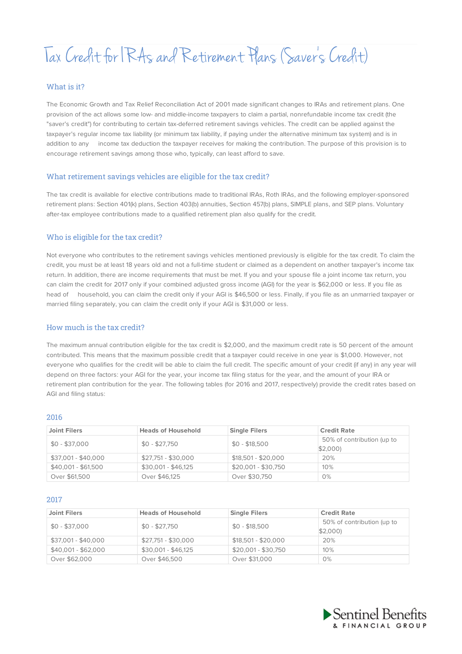# Tax Credit for RAs and Retirement Plans (Saver' sCredit)

## What is it?

The Economic Growth and Tax Relief Reconciliation Act of 2001 made significant changes to IRAs and retirement plans. One provision of the act allows some low- and middle-income taxpayers to claim a partial, nonrefundable income tax credit (the "saver's credit") for contributing to certain tax-deferred retirement savings vehicles. The credit can be applied against the taxpayer's regular income tax liability (or minimum tax liability, if paying under the alternative minimum tax system) and is in addition to any income tax deduction the taxpayer receives for making the contribution. The purpose of this provision is to encourage retirement savings among those who, typically, can least afford to save.

### What retirement savings vehicles are eligible for the tax credit?

The tax credit is available for elective contributions made to traditional IRAs, Roth IRAs, and the following employer-sponsored retirement plans: Section 401(k) plans, Section 403(b) annuities, Section 457(b) plans, SIMPLE plans, and SEP plans. Voluntary after-tax employee contributions made to a qualified retirement plan also qualify for the credit.

# Who is eligible for the tax credit?

Not everyone who contributes to the retirement savings vehicles mentioned previously is eligible for the tax credit. To claim the credit, you must be at least 18 years old and not a full-time student or claimed as a dependent on another taxpayer's income tax return. In addition, there are income requirements that must be met. If you and your spouse file a joint income tax return, you can claim the credit for 2017 only if your combined adjusted gross income (AGI) for the year is \$62,000 or less. If you file as head of household, you can claim the credit only if your AGI is \$46,500 or less. Finally, if you file as an unmarried taxpayer or married filing separately, you can claim the credit only if your AGI is \$31,000 or less.

## How much is the tax credit?

The maximum annual contribution eligible for the tax credit is \$2,000, and the maximum credit rate is 50 percent of the amount contributed. This means that the maximum possible credit that a taxpayer could receive in one year is \$1,000. However, not everyone who qualifies for the credit will be able to claim the full credit. The specific amount of your credit (if any) in any year will depend on three factors: your AGI for the year, your income tax filing status for the year, and the amount of your IRA or retirement plan contribution for the year. The following tables (for 2016 and 2017, respectively) provide the credit rates based on AGI and filing status:

#### 2016

| <b>Joint Filers</b> | <b>Heads of Household</b> | <b>Single Filers</b> | <b>Credit Rate</b>                    |
|---------------------|---------------------------|----------------------|---------------------------------------|
| $$0 - $37,000$      | $$0 - $27,750$            | $$0 - $18,500$       | 50% of contribution (up to<br>\$2,000 |
| \$37,001 - \$40,000 | $$27,751 - $30,000$       | $$18,501 - $20,000$  | 20%                                   |
| $$40,001 - $61,500$ | $$30.001 - $46.125$       | $$20,001 - $30,750$  | 10%                                   |
| Over \$61,500       | Over \$46,125             | Over \$30,750        | 0%                                    |

#### 2017

| <b>Joint Filers</b> | <b>Heads of Household</b> | <b>Single Filers</b> | <b>Credit Rate</b>         |
|---------------------|---------------------------|----------------------|----------------------------|
| $$0 - $37,000$      | $$0 - $27,750$            | $$0 - $18,500$       | 50% of contribution (up to |
|                     |                           |                      | \$2,000                    |
| \$37,001 - \$40,000 | $$27,751 - $30,000$       | $$18,501 - $20,000$  | 20%                        |
| $$40.001 - $62.000$ | $$30.001 - $46.125$       | $$20,001 - $30,750$  | 10%                        |
| Over \$62,000       | Over \$46,500             | Over \$31,000        | 0%                         |